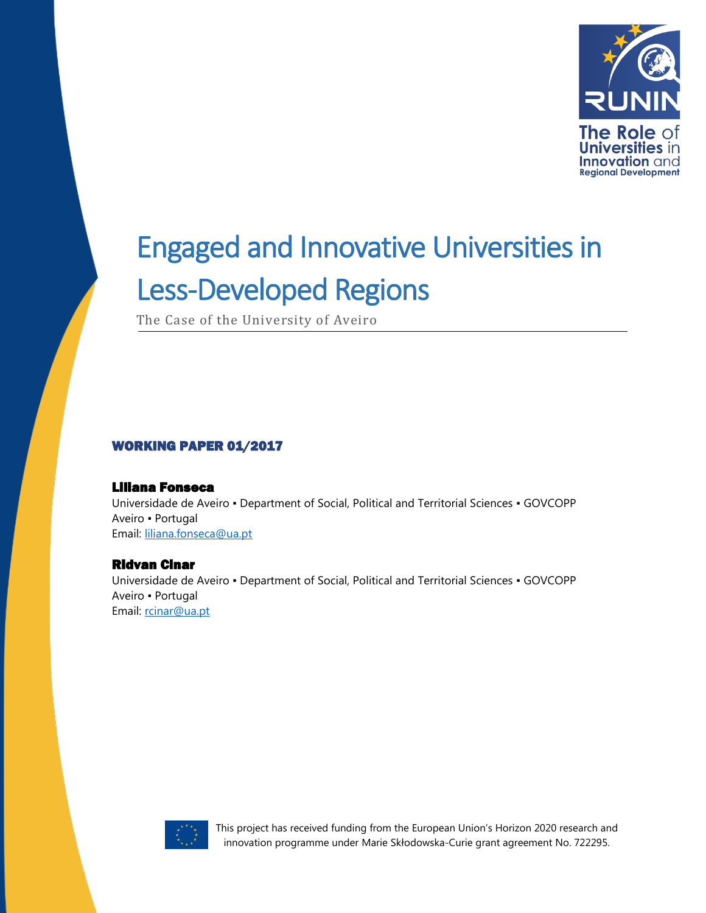

The Case of the University of Aveiro

#### WORKING PAPER 01/2017

#### Liliana Fonseca

Universidade de Aveiro ▪ Department of Social, Political and Territorial Sciences ▪ GOVCOPP Aveiro ▪ Portugal Email: [liliana.fonseca@ua.pt](mailto:liliana.fonseca@ua.pt)

#### Ridvan Cinar

Universidade de Aveiro ▪ Department of Social, Political and Territorial Sciences ▪ GOVCOPP Aveiro ▪ Portugal Email: [rcinar@ua.pt](mailto:rcinar@ua.pt)

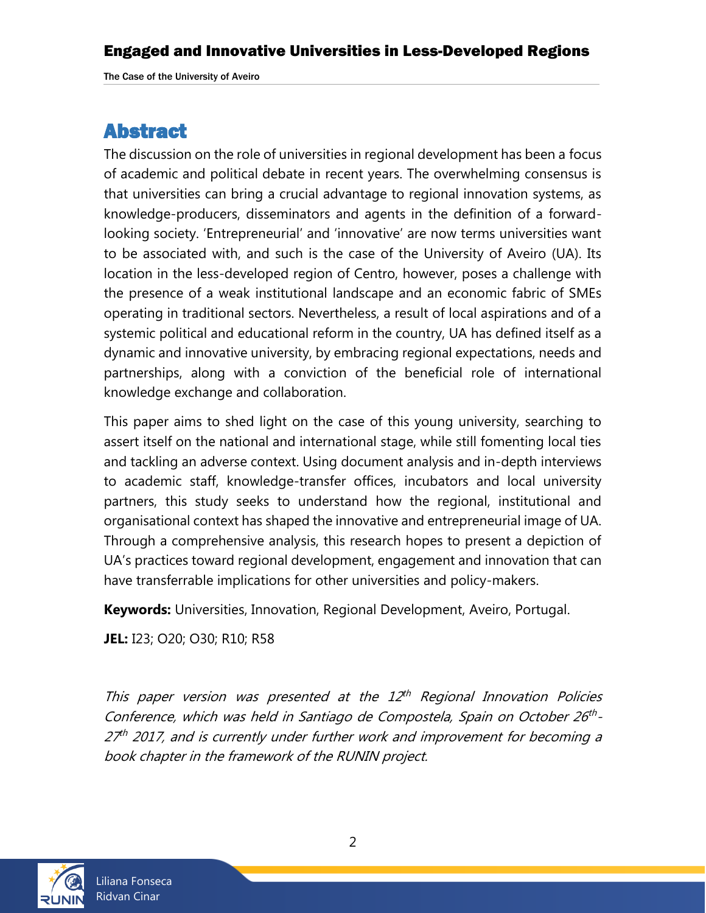## Abstract

The discussion on the role of universities in regional development has been a focus of academic and political debate in recent years. The overwhelming consensus is that universities can bring a crucial advantage to regional innovation systems, as knowledge-producers, disseminators and agents in the definition of a forwardlooking society. 'Entrepreneurial' and 'innovative' are now terms universities want to be associated with, and such is the case of the University of Aveiro (UA). Its location in the less-developed region of Centro, however, poses a challenge with the presence of a weak institutional landscape and an economic fabric of SMEs operating in traditional sectors. Nevertheless, a result of local aspirations and of a systemic political and educational reform in the country, UA has defined itself as a dynamic and innovative university, by embracing regional expectations, needs and partnerships, along with a conviction of the beneficial role of international knowledge exchange and collaboration.

This paper aims to shed light on the case of this young university, searching to assert itself on the national and international stage, while still fomenting local ties and tackling an adverse context. Using document analysis and in-depth interviews to academic staff, knowledge-transfer offices, incubators and local university partners, this study seeks to understand how the regional, institutional and organisational context has shaped the innovative and entrepreneurial image of UA. Through a comprehensive analysis, this research hopes to present a depiction of UA's practices toward regional development, engagement and innovation that can have transferrable implications for other universities and policy-makers.

**Keywords:** Universities, Innovation, Regional Development, Aveiro, Portugal.

**JEL:** I23; O20; O30; R10; R58

This paper version was presented at the  $12<sup>th</sup>$  Regional Innovation Policies Conference, which was held in Santiago de Compostela, Spain on October 26<sup>th</sup>-27<sup>th</sup> 2017, and is currently under further work and improvement for becoming a book chapter in the framework of the RUNIN project.

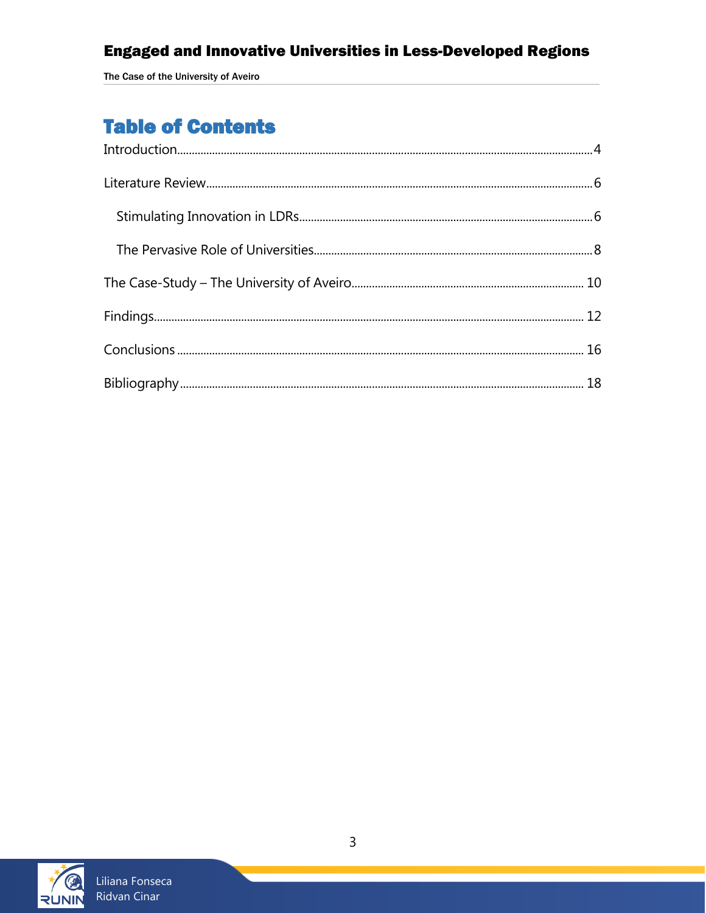The Case of the University of Aveiro

# **Table of Contents**

<span id="page-2-0"></span>

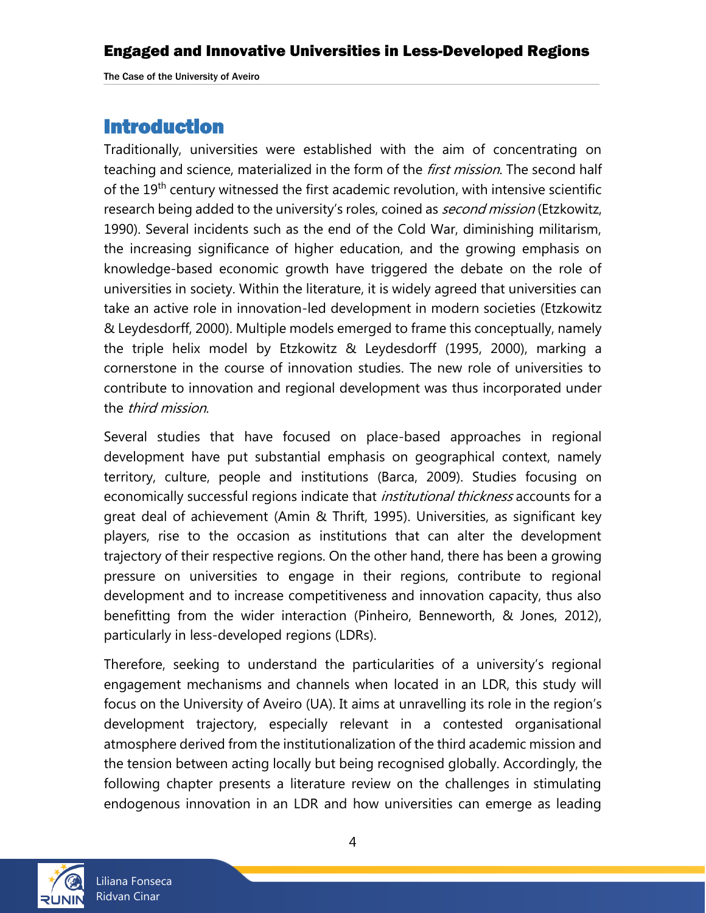# Introduction

Traditionally, universities were established with the aim of concentrating on teaching and science, materialized in the form of the *first mission*. The second half of the 19<sup>th</sup> century witnessed the first academic revolution, with intensive scientific research being added to the university's roles, coined as *second mission* (Etzkowitz, 1990). Several incidents such as the end of the Cold War, diminishing militarism, the increasing significance of higher education, and the growing emphasis on knowledge-based economic growth have triggered the debate on the role of universities in society. Within the literature, it is widely agreed that universities can take an active role in innovation-led development in modern societies (Etzkowitz & Leydesdorff, 2000). Multiple models emerged to frame this conceptually, namely the triple helix model by Etzkowitz & Leydesdorff (1995, 2000), marking a cornerstone in the course of innovation studies. The new role of universities to contribute to innovation and regional development was thus incorporated under the third mission.

Several studies that have focused on place-based approaches in regional development have put substantial emphasis on geographical context, namely territory, culture, people and institutions (Barca, 2009). Studies focusing on economically successful regions indicate that *institutional thickness* accounts for a great deal of achievement (Amin & Thrift, 1995). Universities, as significant key players, rise to the occasion as institutions that can alter the development trajectory of their respective regions. On the other hand, there has been a growing pressure on universities to engage in their regions, contribute to regional development and to increase competitiveness and innovation capacity, thus also benefitting from the wider interaction (Pinheiro, Benneworth, & Jones, 2012), particularly in less-developed regions (LDRs).

Therefore, seeking to understand the particularities of a university's regional engagement mechanisms and channels when located in an LDR, this study will focus on the University of Aveiro (UA). It aims at unravelling its role in the region's development trajectory, especially relevant in a contested organisational atmosphere derived from the institutionalization of the third academic mission and the tension between acting locally but being recognised globally. Accordingly, the following chapter presents a literature review on the challenges in stimulating endogenous innovation in an LDR and how universities can emerge as leading

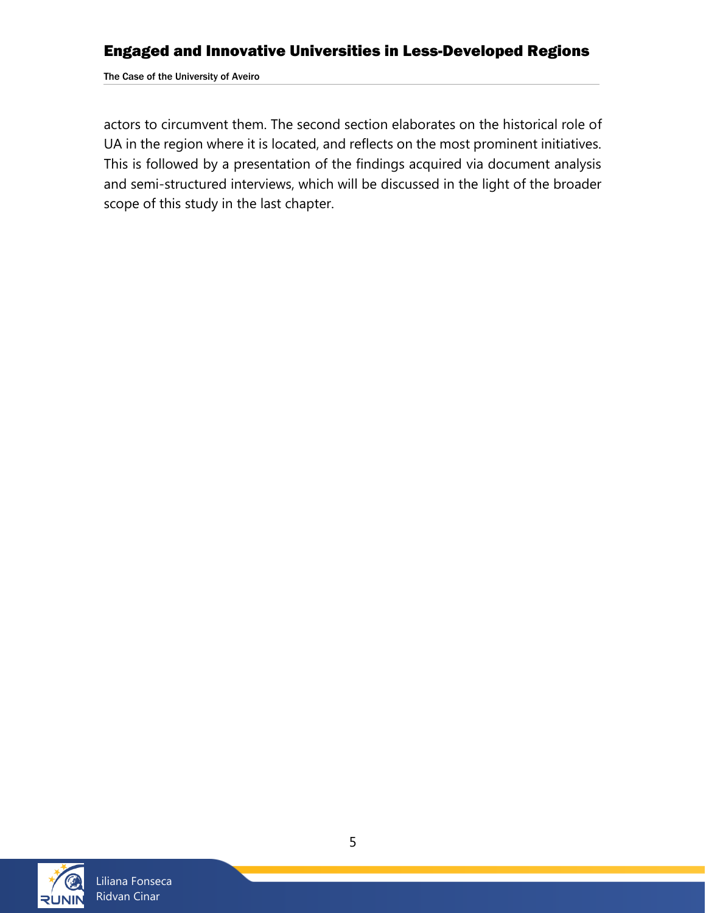The Case of the University of Aveiro

actors to circumvent them. The second section elaborates on the historical role of UA in the region where it is located, and reflects on the most prominent initiatives. This is followed by a presentation of the findings acquired via document analysis and semi-structured interviews, which will be discussed in the light of the broader scope of this study in the last chapter.

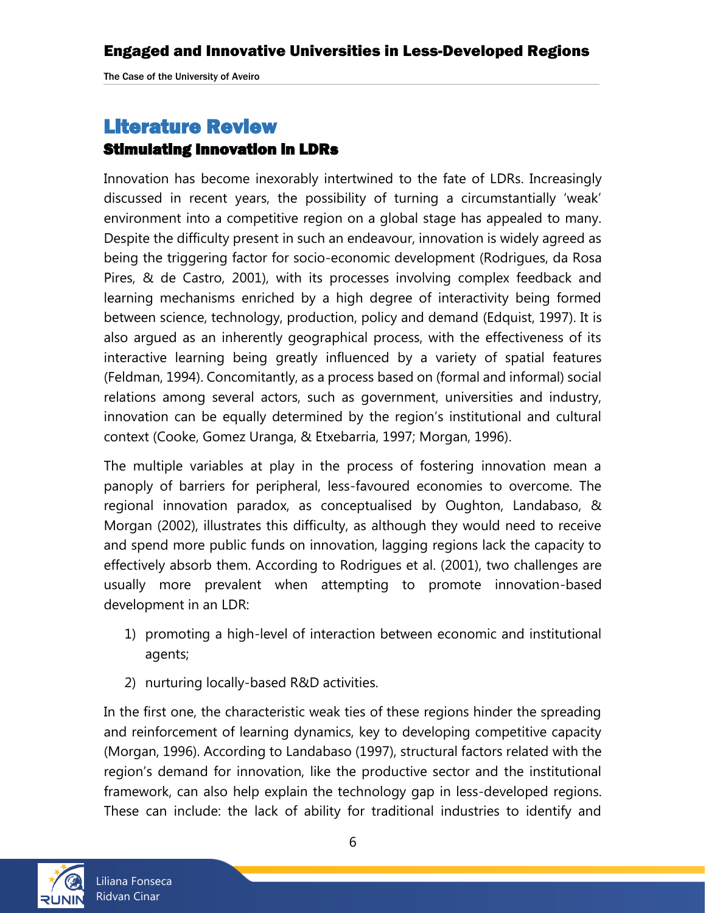# <span id="page-5-0"></span>Literature Review

#### <span id="page-5-1"></span>Stimulating Innovation in LDRs

Innovation has become inexorably intertwined to the fate of LDRs. Increasingly discussed in recent years, the possibility of turning a circumstantially 'weak' environment into a competitive region on a global stage has appealed to many. Despite the difficulty present in such an endeavour, innovation is widely agreed as being the triggering factor for socio-economic development (Rodrigues, da Rosa Pires, & de Castro, 2001), with its processes involving complex feedback and learning mechanisms enriched by a high degree of interactivity being formed between science, technology, production, policy and demand (Edquist, 1997). It is also argued as an inherently geographical process, with the effectiveness of its interactive learning being greatly influenced by a variety of spatial features (Feldman, 1994). Concomitantly, as a process based on (formal and informal) social relations among several actors, such as government, universities and industry, innovation can be equally determined by the region's institutional and cultural context (Cooke, Gomez Uranga, & Etxebarria, 1997; Morgan, 1996).

The multiple variables at play in the process of fostering innovation mean a panoply of barriers for peripheral, less-favoured economies to overcome. The regional innovation paradox, as conceptualised by Oughton, Landabaso, & Morgan (2002), illustrates this difficulty, as although they would need to receive and spend more public funds on innovation, lagging regions lack the capacity to effectively absorb them. According to Rodrigues et al. (2001), two challenges are usually more prevalent when attempting to promote innovation-based development in an LDR:

- 1) promoting a high-level of interaction between economic and institutional agents;
- 2) nurturing locally-based R&D activities.

In the first one, the characteristic weak ties of these regions hinder the spreading and reinforcement of learning dynamics, key to developing competitive capacity (Morgan, 1996). According to Landabaso (1997), structural factors related with the region's demand for innovation, like the productive sector and the institutional framework, can also help explain the technology gap in less-developed regions. These can include: the lack of ability for traditional industries to identify and

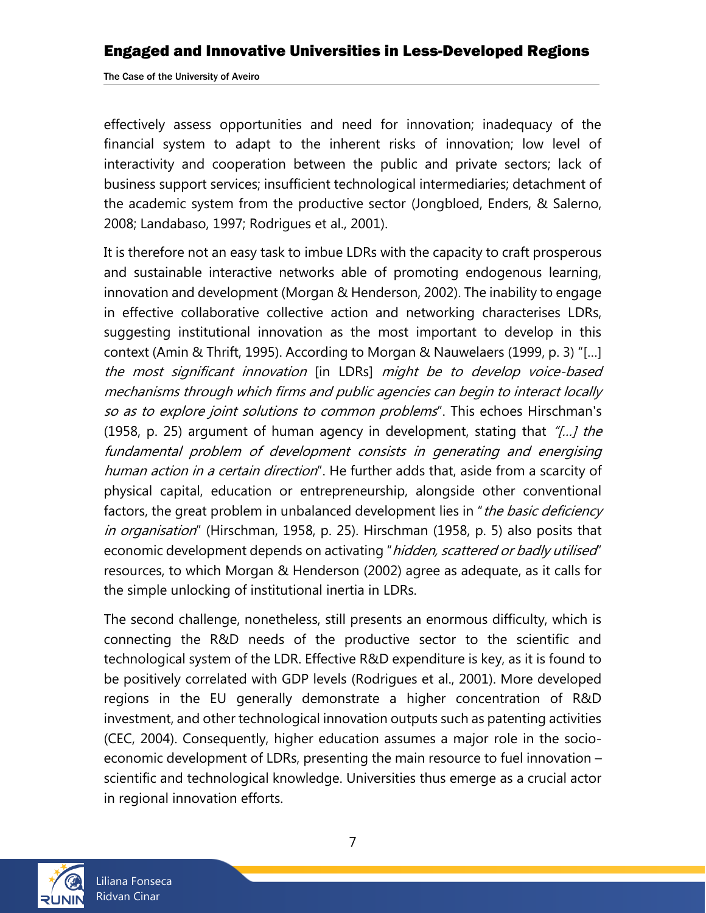effectively assess opportunities and need for innovation; inadequacy of the financial system to adapt to the inherent risks of innovation; low level of interactivity and cooperation between the public and private sectors; lack of business support services; insufficient technological intermediaries; detachment of the academic system from the productive sector (Jongbloed, Enders, & Salerno, 2008; Landabaso, 1997; Rodrigues et al., 2001).

It is therefore not an easy task to imbue LDRs with the capacity to craft prosperous and sustainable interactive networks able of promoting endogenous learning, innovation and development (Morgan & Henderson, 2002). The inability to engage in effective collaborative collective action and networking characterises LDRs, suggesting institutional innovation as the most important to develop in this context (Amin & Thrift, 1995). According to Morgan & Nauwelaers (1999, p. 3) "[…] the most significant innovation [in LDRs] might be to develop voice-based mechanisms through which firms and public agencies can begin to interact locally so as to explore joint solutions to common problems". This echoes Hirschman's (1958, p. 25) argument of human agency in development, stating that  $\pi$ ...) the fundamental problem of development consists in generating and energising human action in a certain direction". He further adds that, aside from a scarcity of physical capital, education or entrepreneurship, alongside other conventional factors, the great problem in unbalanced development lies in "*the basic deficiency* in organisation" (Hirschman, 1958, p. 25). Hirschman (1958, p. 5) also posits that economic development depends on activating "hidden, scattered or badly utilised" resources, to which Morgan & Henderson (2002) agree as adequate, as it calls for the simple unlocking of institutional inertia in LDRs.

The second challenge, nonetheless, still presents an enormous difficulty, which is connecting the R&D needs of the productive sector to the scientific and technological system of the LDR. Effective R&D expenditure is key, as it is found to be positively correlated with GDP levels (Rodrigues et al., 2001). More developed regions in the EU generally demonstrate a higher concentration of R&D investment, and other technological innovation outputs such as patenting activities (CEC, 2004). Consequently, higher education assumes a major role in the socioeconomic development of LDRs, presenting the main resource to fuel innovation – scientific and technological knowledge. Universities thus emerge as a crucial actor in regional innovation efforts.

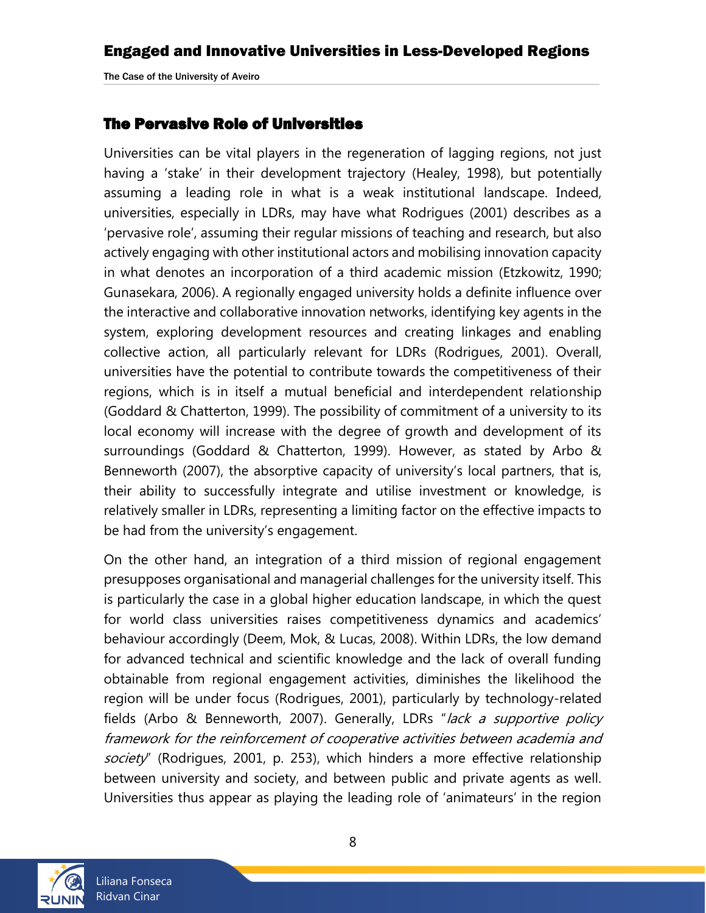### <span id="page-7-0"></span>The Pervasive Role of Universities

Universities can be vital players in the regeneration of lagging regions, not just having a 'stake' in their development trajectory (Healey, 1998), but potentially assuming a leading role in what is a weak institutional landscape. Indeed, universities, especially in LDRs, may have what Rodrigues (2001) describes as a 'pervasive role', assuming their regular missions of teaching and research, but also actively engaging with other institutional actors and mobilising innovation capacity in what denotes an incorporation of a third academic mission (Etzkowitz, 1990; Gunasekara, 2006). A regionally engaged university holds a definite influence over the interactive and collaborative innovation networks, identifying key agents in the system, exploring development resources and creating linkages and enabling collective action, all particularly relevant for LDRs (Rodrigues, 2001). Overall, universities have the potential to contribute towards the competitiveness of their regions, which is in itself a mutual beneficial and interdependent relationship (Goddard & Chatterton, 1999). The possibility of commitment of a university to its local economy will increase with the degree of growth and development of its surroundings (Goddard & Chatterton, 1999). However, as stated by Arbo & Benneworth (2007), the absorptive capacity of university's local partners, that is, their ability to successfully integrate and utilise investment or knowledge, is relatively smaller in LDRs, representing a limiting factor on the effective impacts to be had from the university's engagement.

On the other hand, an integration of a third mission of regional engagement presupposes organisational and managerial challenges for the university itself. This is particularly the case in a global higher education landscape, in which the quest for world class universities raises competitiveness dynamics and academics' behaviour accordingly (Deem, Mok, & Lucas, 2008). Within LDRs, the low demand for advanced technical and scientific knowledge and the lack of overall funding obtainable from regional engagement activities, diminishes the likelihood the region will be under focus (Rodrigues, 2001), particularly by technology-related fields (Arbo & Benneworth, 2007). Generally, LDRs "lack a supportive policy framework for the reinforcement of cooperative activities between academia and society" (Rodrigues, 2001, p. 253), which hinders a more effective relationship between university and society, and between public and private agents as well. Universities thus appear as playing the leading role of 'animateurs' in the region

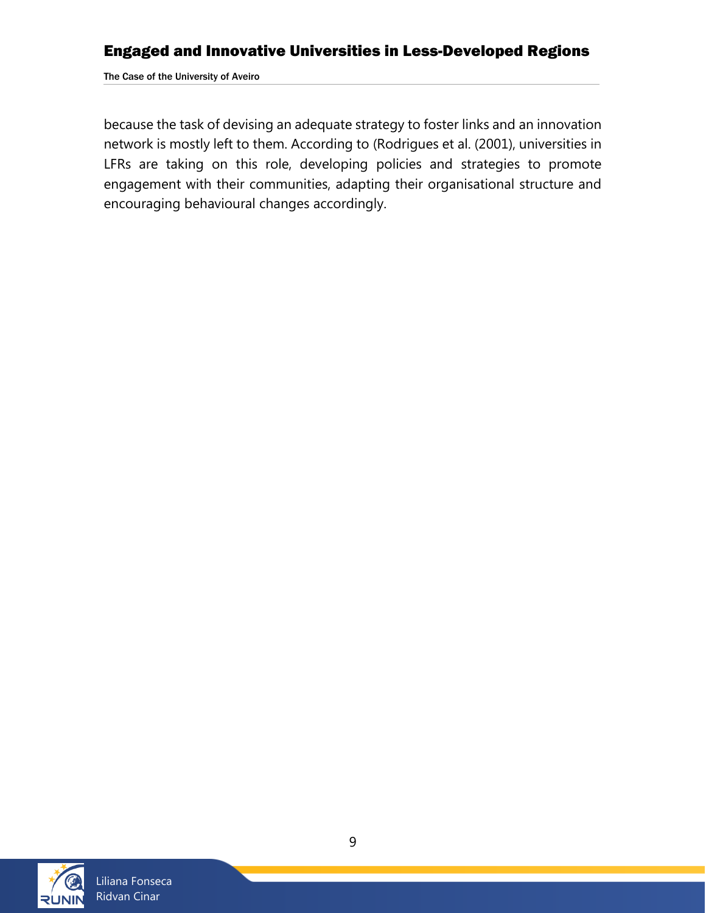The Case of the University of Aveiro

because the task of devising an adequate strategy to foster links and an innovation network is mostly left to them. According to (Rodrigues et al. (2001), universities in LFRs are taking on this role, developing policies and strategies to promote engagement with their communities, adapting their organisational structure and encouraging behavioural changes accordingly.

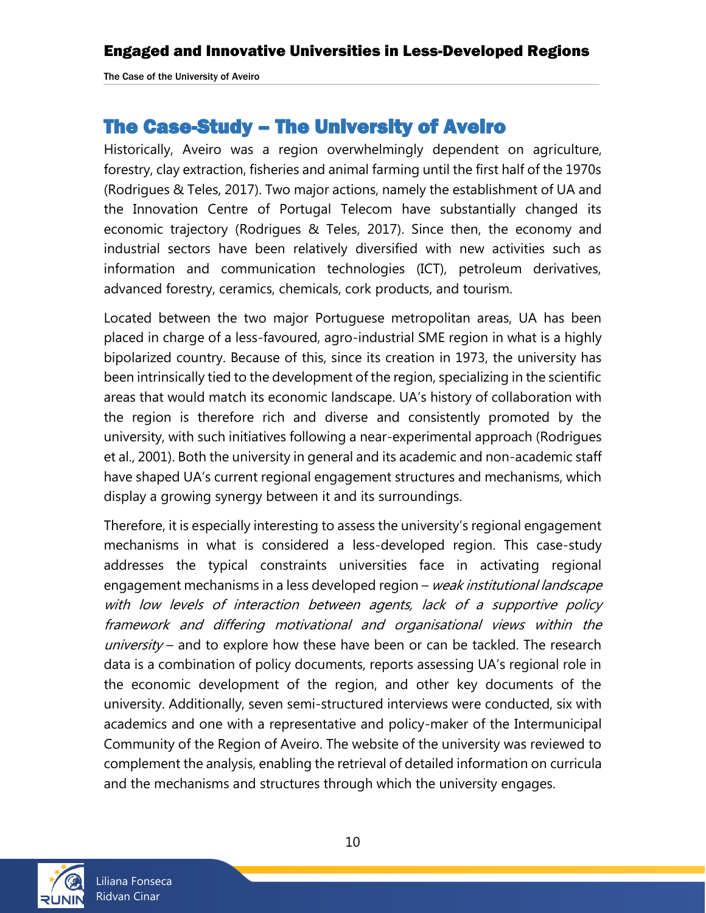## <span id="page-9-0"></span>The Case-Study – The University of Aveiro

Historically, Aveiro was a region overwhelmingly dependent on agriculture, forestry, clay extraction, fisheries and animal farming until the first half of the 1970s (Rodrigues & Teles, 2017). Two major actions, namely the establishment of UA and the Innovation Centre of Portugal Telecom have substantially changed its economic trajectory (Rodrigues & Teles, 2017). Since then, the economy and industrial sectors have been relatively diversified with new activities such as information and communication technologies (ICT), petroleum derivatives, advanced forestry, ceramics, chemicals, cork products, and tourism.

Located between the two major Portuguese metropolitan areas, UA has been placed in charge of a less-favoured, agro-industrial SME region in what is a highly bipolarized country. Because of this, since its creation in 1973, the university has been intrinsically tied to the development of the region, specializing in the scientific areas that would match its economic landscape. UA's history of collaboration with the region is therefore rich and diverse and consistently promoted by the university, with such initiatives following a near-experimental approach (Rodrigues et al., 2001). Both the university in general and its academic and non-academic staff have shaped UA's current regional engagement structures and mechanisms, which display a growing synergy between it and its surroundings.

Therefore, it is especially interesting to assess the university's regional engagement mechanisms in what is considered a less-developed region. This case-study addresses the typical constraints universities face in activating regional engagement mechanisms in a less developed region – weak institutional landscape with low levels of interaction between agents, lack of a supportive policy framework and differing motivational and organisational views within the  $university$  – and to explore how these have been or can be tackled. The research data is a combination of policy documents, reports assessing UA's regional role in the economic development of the region, and other key documents of the university. Additionally, seven semi-structured interviews were conducted, six with academics and one with a representative and policy-maker of the Intermunicipal Community of the Region of Aveiro. The website of the university was reviewed to complement the analysis, enabling the retrieval of detailed information on curricula and the mechanisms and structures through which the university engages.

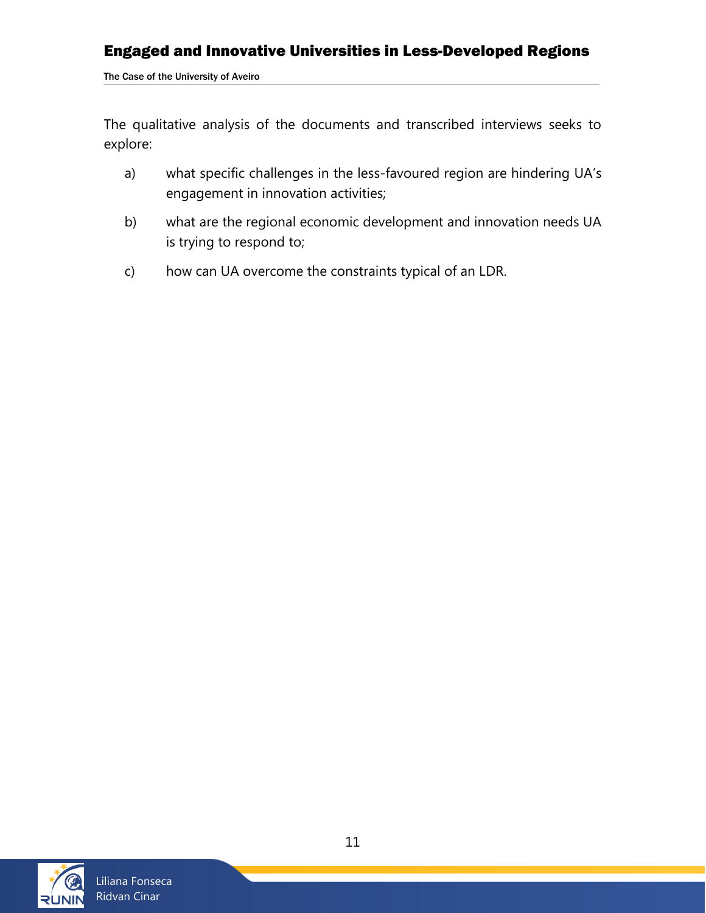The Case of the University of Aveiro

The qualitative analysis of the documents and transcribed interviews seeks to explore:

- a) what specific challenges in the less-favoured region are hindering UA's engagement in innovation activities;
- b) what are the regional economic development and innovation needs UA is trying to respond to;
- c) how can UA overcome the constraints typical of an LDR.

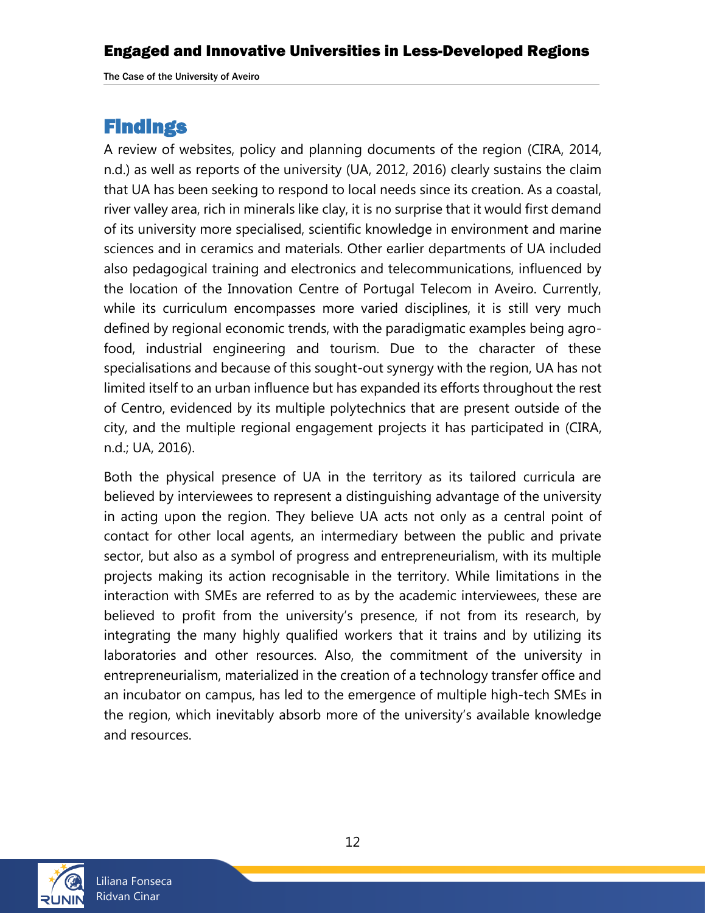## <span id="page-11-0"></span>**Findings**

A review of websites, policy and planning documents of the region (CIRA, 2014, n.d.) as well as reports of the university (UA, 2012, 2016) clearly sustains the claim that UA has been seeking to respond to local needs since its creation. As a coastal, river valley area, rich in minerals like clay, it is no surprise that it would first demand of its university more specialised, scientific knowledge in environment and marine sciences and in ceramics and materials. Other earlier departments of UA included also pedagogical training and electronics and telecommunications, influenced by the location of the Innovation Centre of Portugal Telecom in Aveiro. Currently, while its curriculum encompasses more varied disciplines, it is still very much defined by regional economic trends, with the paradigmatic examples being agrofood, industrial engineering and tourism. Due to the character of these specialisations and because of this sought-out synergy with the region, UA has not limited itself to an urban influence but has expanded its efforts throughout the rest of Centro, evidenced by its multiple polytechnics that are present outside of the city, and the multiple regional engagement projects it has participated in (CIRA, n.d.; UA, 2016).

Both the physical presence of UA in the territory as its tailored curricula are believed by interviewees to represent a distinguishing advantage of the university in acting upon the region. They believe UA acts not only as a central point of contact for other local agents, an intermediary between the public and private sector, but also as a symbol of progress and entrepreneurialism, with its multiple projects making its action recognisable in the territory. While limitations in the interaction with SMEs are referred to as by the academic interviewees, these are believed to profit from the university's presence, if not from its research, by integrating the many highly qualified workers that it trains and by utilizing its laboratories and other resources. Also, the commitment of the university in entrepreneurialism, materialized in the creation of a technology transfer office and an incubator on campus, has led to the emergence of multiple high-tech SMEs in the region, which inevitably absorb more of the university's available knowledge and resources.

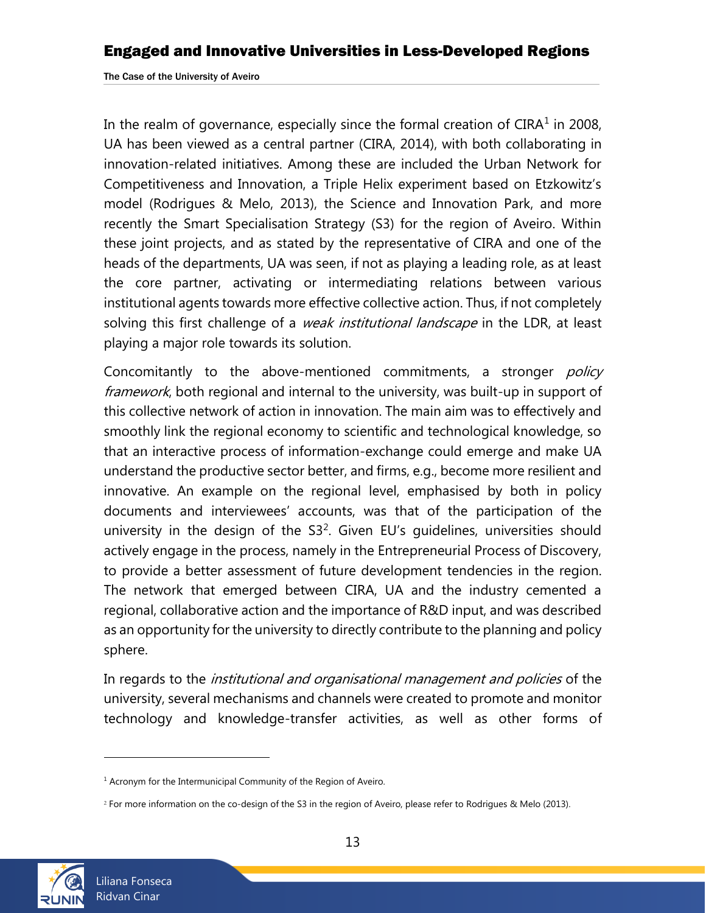In the realm of governance, especially since the formal creation of CIRA $^1$  in 2008, UA has been viewed as a central partner (CIRA, 2014), with both collaborating in innovation-related initiatives. Among these are included the Urban Network for Competitiveness and Innovation, a Triple Helix experiment based on Etzkowitz's model (Rodrigues & Melo, 2013), the Science and Innovation Park, and more recently the Smart Specialisation Strategy (S3) for the region of Aveiro. Within these joint projects, and as stated by the representative of CIRA and one of the heads of the departments, UA was seen, if not as playing a leading role, as at least the core partner, activating or intermediating relations between various institutional agents towards more effective collective action. Thus, if not completely solving this first challenge of a *weak institutional landscape* in the LDR, at least playing a major role towards its solution.

Concomitantly to the above-mentioned commitments, a stronger *policy* framework, both regional and internal to the university, was built-up in support of this collective network of action in innovation. The main aim was to effectively and smoothly link the regional economy to scientific and technological knowledge, so that an interactive process of information-exchange could emerge and make UA understand the productive sector better, and firms, e.g., become more resilient and innovative. An example on the regional level, emphasised by both in policy documents and interviewees' accounts, was that of the participation of the university in the design of the  $S3<sup>2</sup>$ . Given EU's guidelines, universities should actively engage in the process, namely in the Entrepreneurial Process of Discovery, to provide a better assessment of future development tendencies in the region. The network that emerged between CIRA, UA and the industry cemented a regional, collaborative action and the importance of R&D input, and was described as an opportunity for the university to directly contribute to the planning and policy sphere.

In regards to the *institutional and organisational management and policies* of the university, several mechanisms and channels were created to promote and monitor technology and knowledge-transfer activities, as well as other forms of



l

 $1$  Acronym for the Intermunicipal Community of the Region of Aveiro.

<sup>2</sup> For more information on the co-design of the S3 in the region of Aveiro, please refer to Rodrigues & Melo (2013).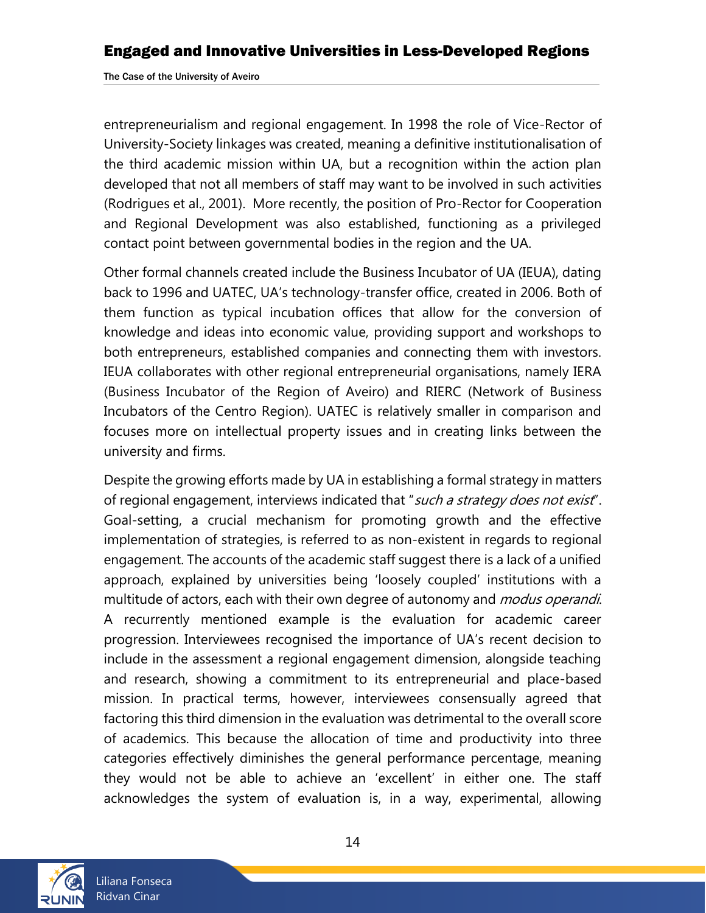entrepreneurialism and regional engagement. In 1998 the role of Vice-Rector of University-Society linkages was created, meaning a definitive institutionalisation of the third academic mission within UA, but a recognition within the action plan developed that not all members of staff may want to be involved in such activities (Rodrigues et al., 2001). More recently, the position of Pro-Rector for Cooperation and Regional Development was also established, functioning as a privileged contact point between governmental bodies in the region and the UA.

Other formal channels created include the Business Incubator of UA (IEUA), dating back to 1996 and UATEC, UA's technology-transfer office, created in 2006. Both of them function as typical incubation offices that allow for the conversion of knowledge and ideas into economic value, providing support and workshops to both entrepreneurs, established companies and connecting them with investors. IEUA collaborates with other regional entrepreneurial organisations, namely IERA (Business Incubator of the Region of Aveiro) and RIERC (Network of Business Incubators of the Centro Region). UATEC is relatively smaller in comparison and focuses more on intellectual property issues and in creating links between the university and firms.

Despite the growing efforts made by UA in establishing a formal strategy in matters of regional engagement, interviews indicated that "such a strategy does not exist". Goal-setting, a crucial mechanism for promoting growth and the effective implementation of strategies, is referred to as non-existent in regards to regional engagement. The accounts of the academic staff suggest there is a lack of a unified approach, explained by universities being 'loosely coupled' institutions with a multitude of actors, each with their own degree of autonomy and *modus operandi*. A recurrently mentioned example is the evaluation for academic career progression. Interviewees recognised the importance of UA's recent decision to include in the assessment a regional engagement dimension, alongside teaching and research, showing a commitment to its entrepreneurial and place-based mission. In practical terms, however, interviewees consensually agreed that factoring this third dimension in the evaluation was detrimental to the overall score of academics. This because the allocation of time and productivity into three categories effectively diminishes the general performance percentage, meaning they would not be able to achieve an 'excellent' in either one. The staff acknowledges the system of evaluation is, in a way, experimental, allowing

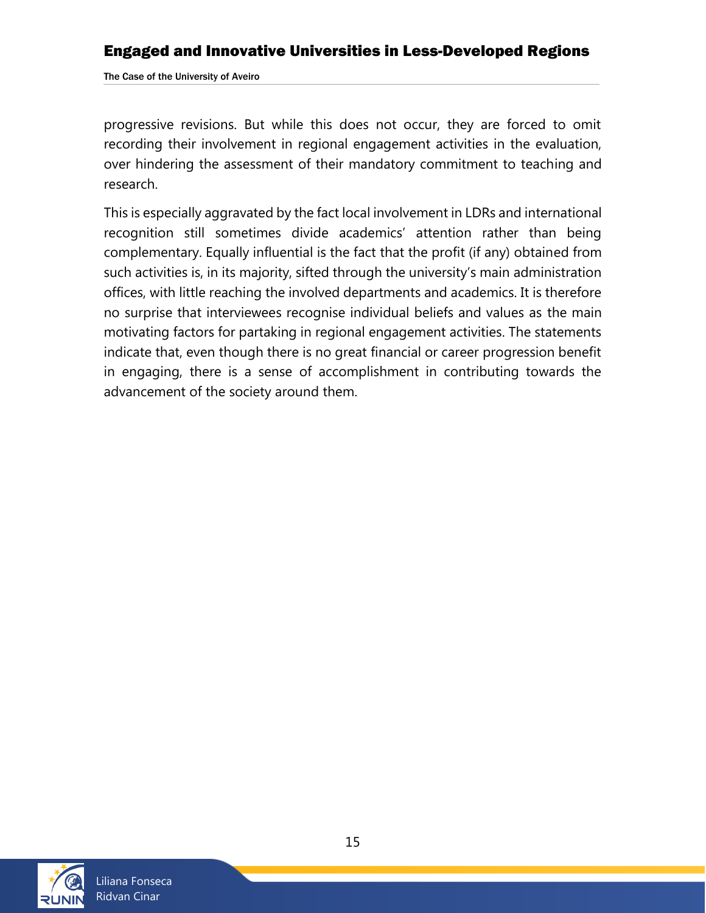The Case of the University of Aveiro

progressive revisions. But while this does not occur, they are forced to omit recording their involvement in regional engagement activities in the evaluation, over hindering the assessment of their mandatory commitment to teaching and research.

This is especially aggravated by the fact local involvement in LDRs and international recognition still sometimes divide academics' attention rather than being complementary. Equally influential is the fact that the profit (if any) obtained from such activities is, in its majority, sifted through the university's main administration offices, with little reaching the involved departments and academics. It is therefore no surprise that interviewees recognise individual beliefs and values as the main motivating factors for partaking in regional engagement activities. The statements indicate that, even though there is no great financial or career progression benefit in engaging, there is a sense of accomplishment in contributing towards the advancement of the society around them.

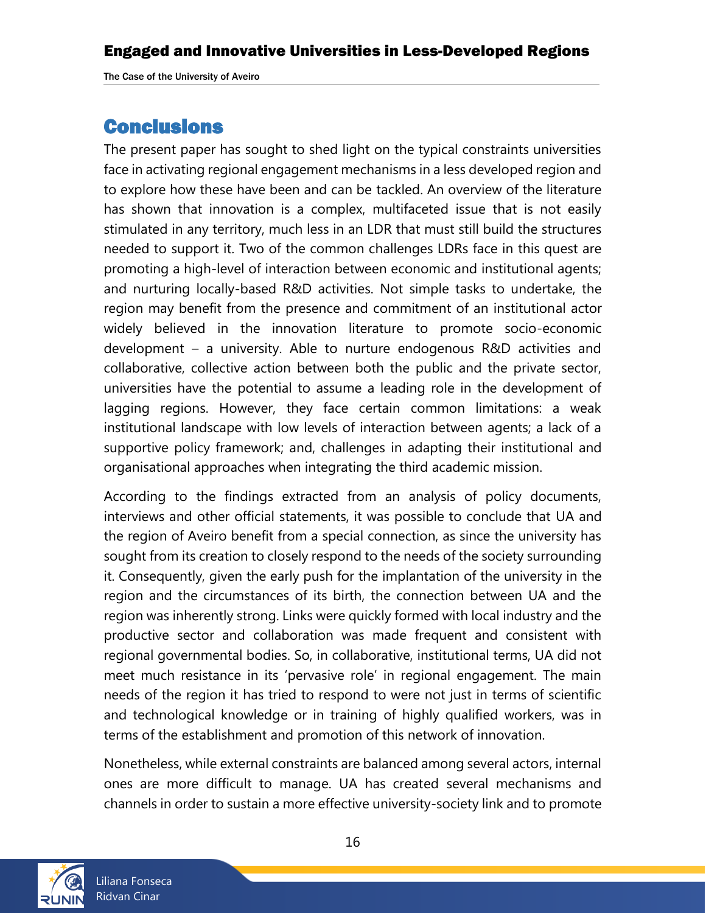## <span id="page-15-0"></span>Conclusions

The present paper has sought to shed light on the typical constraints universities face in activating regional engagement mechanisms in a less developed region and to explore how these have been and can be tackled. An overview of the literature has shown that innovation is a complex, multifaceted issue that is not easily stimulated in any territory, much less in an LDR that must still build the structures needed to support it. Two of the common challenges LDRs face in this quest are promoting a high-level of interaction between economic and institutional agents; and nurturing locally-based R&D activities. Not simple tasks to undertake, the region may benefit from the presence and commitment of an institutional actor widely believed in the innovation literature to promote socio-economic development – a university. Able to nurture endogenous R&D activities and collaborative, collective action between both the public and the private sector, universities have the potential to assume a leading role in the development of lagging regions. However, they face certain common limitations: a weak institutional landscape with low levels of interaction between agents; a lack of a supportive policy framework; and, challenges in adapting their institutional and organisational approaches when integrating the third academic mission.

According to the findings extracted from an analysis of policy documents, interviews and other official statements, it was possible to conclude that UA and the region of Aveiro benefit from a special connection, as since the university has sought from its creation to closely respond to the needs of the society surrounding it. Consequently, given the early push for the implantation of the university in the region and the circumstances of its birth, the connection between UA and the region was inherently strong. Links were quickly formed with local industry and the productive sector and collaboration was made frequent and consistent with regional governmental bodies. So, in collaborative, institutional terms, UA did not meet much resistance in its 'pervasive role' in regional engagement. The main needs of the region it has tried to respond to were not just in terms of scientific and technological knowledge or in training of highly qualified workers, was in terms of the establishment and promotion of this network of innovation.

Nonetheless, while external constraints are balanced among several actors, internal ones are more difficult to manage. UA has created several mechanisms and channels in order to sustain a more effective university-society link and to promote

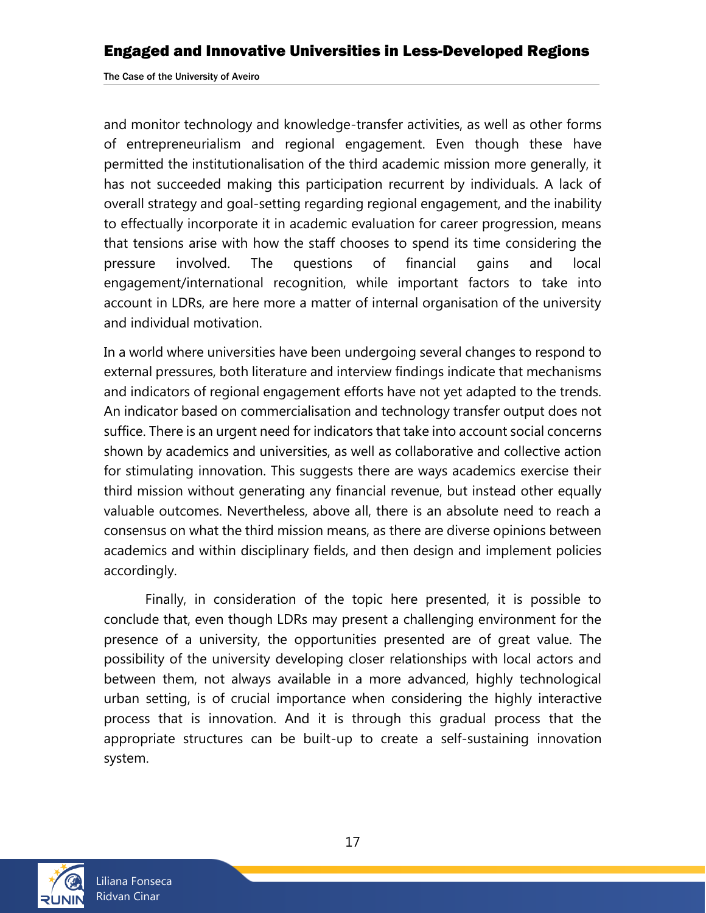and monitor technology and knowledge-transfer activities, as well as other forms of entrepreneurialism and regional engagement. Even though these have permitted the institutionalisation of the third academic mission more generally, it has not succeeded making this participation recurrent by individuals. A lack of overall strategy and goal-setting regarding regional engagement, and the inability to effectually incorporate it in academic evaluation for career progression, means that tensions arise with how the staff chooses to spend its time considering the pressure involved. The questions of financial gains and local engagement/international recognition, while important factors to take into account in LDRs, are here more a matter of internal organisation of the university and individual motivation.

In a world where universities have been undergoing several changes to respond to external pressures, both literature and interview findings indicate that mechanisms and indicators of regional engagement efforts have not yet adapted to the trends. An indicator based on commercialisation and technology transfer output does not suffice. There is an urgent need for indicators that take into account social concerns shown by academics and universities, as well as collaborative and collective action for stimulating innovation. This suggests there are ways academics exercise their third mission without generating any financial revenue, but instead other equally valuable outcomes. Nevertheless, above all, there is an absolute need to reach a consensus on what the third mission means, as there are diverse opinions between academics and within disciplinary fields, and then design and implement policies accordingly.

Finally, in consideration of the topic here presented, it is possible to conclude that, even though LDRs may present a challenging environment for the presence of a university, the opportunities presented are of great value. The possibility of the university developing closer relationships with local actors and between them, not always available in a more advanced, highly technological urban setting, is of crucial importance when considering the highly interactive process that is innovation. And it is through this gradual process that the appropriate structures can be built-up to create a self-sustaining innovation system.

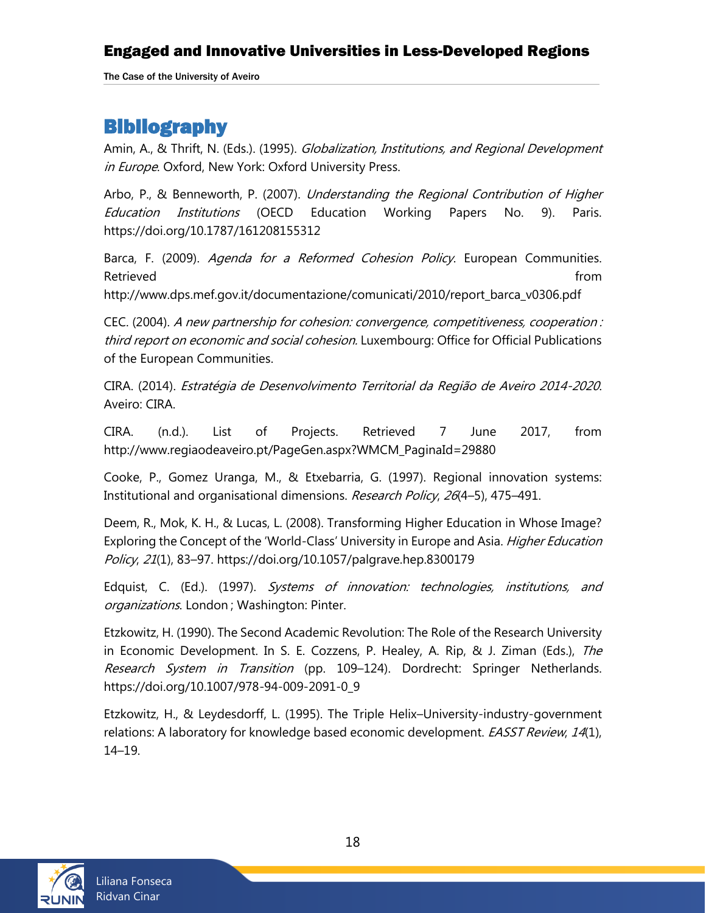The Case of the University of Aveiro

## <span id="page-17-0"></span>**Bibliography**

Amin, A., & Thrift, N. (Eds.). (1995). *Globalization, Institutions, and Regional Development* in Europe. Oxford, New York: Oxford University Press.

Arbo, P., & Benneworth, P. (2007). Understanding the Regional Contribution of Higher Education Institutions (OECD Education Working Papers No. 9). Paris. https://doi.org/10.1787/161208155312

Barca, F. (2009). Agenda for a Reformed Cohesion Policy. European Communities. Retrieved **from** 

http://www.dps.mef.gov.it/documentazione/comunicati/2010/report\_barca\_v0306.pdf

CEC. (2004). A new partnership for cohesion: convergence, competitiveness, cooperation : third report on economic and social cohesion. Luxembourg: Office for Official Publications of the European Communities.

CIRA. (2014). Estratégia de Desenvolvimento Territorial da Região de Aveiro 2014-2020. Aveiro: CIRA.

CIRA. (n.d.). List of Projects. Retrieved 7 June 2017, from http://www.regiaodeaveiro.pt/PageGen.aspx?WMCM\_PaginaId=29880

Cooke, P., Gomez Uranga, M., & Etxebarria, G. (1997). Regional innovation systems: Institutional and organisational dimensions. Research Policy, 26(4-5), 475-491.

Deem, R., Mok, K. H., & Lucas, L. (2008). Transforming Higher Education in Whose Image? Exploring the Concept of the 'World-Class' University in Europe and Asia. *Higher Education* Policy, 21(1), 83–97. https://doi.org/10.1057/palgrave.hep.8300179

Edquist, C. (Ed.). (1997). Systems of innovation: technologies, institutions, and organizations. London ; Washington: Pinter.

Etzkowitz, H. (1990). The Second Academic Revolution: The Role of the Research University in Economic Development. In S. E. Cozzens, P. Healey, A. Rip, & J. Ziman (Eds.), The Research System in Transition (pp. 109–124). Dordrecht: Springer Netherlands. https://doi.org/10.1007/978-94-009-2091-0\_9

Etzkowitz, H., & Leydesdorff, L. (1995). The Triple Helix–University-industry-government relations: A laboratory for knowledge based economic development. *EASST Review, 14*(1), 14–19.

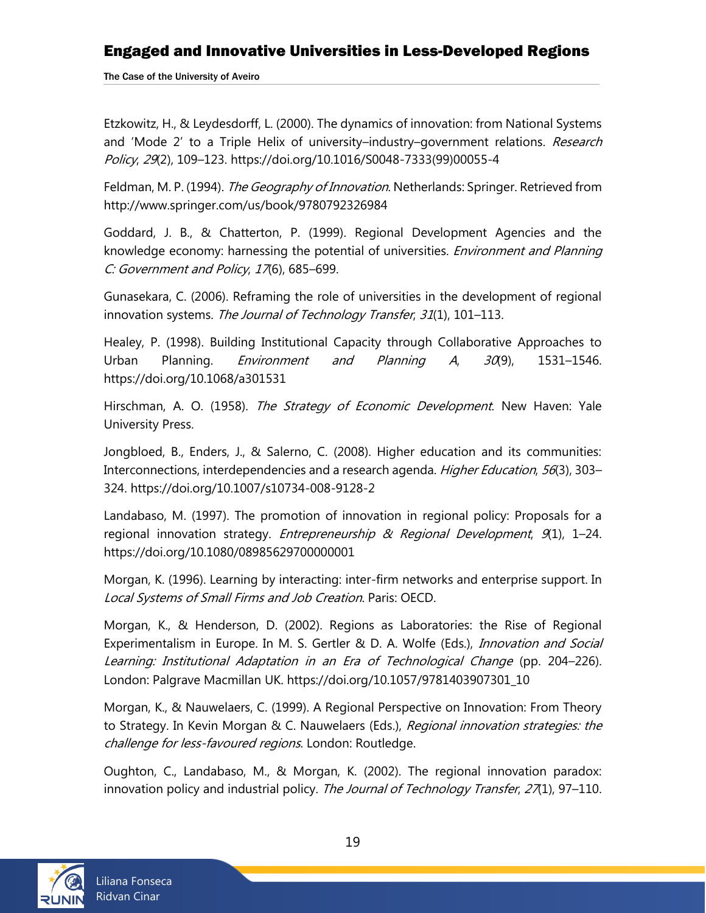The Case of the University of Aveiro

Etzkowitz, H., & Leydesdorff, L. (2000). The dynamics of innovation: from National Systems and 'Mode 2' to a Triple Helix of university–industry–government relations. Research Policy, 29(2), 109–123. https://doi.org/10.1016/S0048-7333(99)00055-4

Feldman, M. P. (1994). The Geography of Innovation. Netherlands: Springer. Retrieved from http://www.springer.com/us/book/9780792326984

Goddard, J. B., & Chatterton, P. (1999). Regional Development Agencies and the knowledge economy: harnessing the potential of universities. *Environment and Planning* C: Government and Policy, 17(6), 685–699.

Gunasekara, C. (2006). Reframing the role of universities in the development of regional innovation systems. The Journal of Technology Transfer, 31(1), 101-113.

Healey, P. (1998). Building Institutional Capacity through Collaborative Approaches to Urban Planning. *Environment and Planning A*,  $30(9)$ , 1531-1546. https://doi.org/10.1068/a301531

Hirschman, A. O. (1958). The Strategy of Economic Development. New Haven: Yale University Press.

Jongbloed, B., Enders, J., & Salerno, C. (2008). Higher education and its communities: Interconnections, interdependencies and a research agenda. *Higher Education*, 56(3), 303– 324. https://doi.org/10.1007/s10734-008-9128-2

Landabaso, M. (1997). The promotion of innovation in regional policy: Proposals for a regional innovation strategy. *Entrepreneurship & Regional Development*, 9(1), 1-24. https://doi.org/10.1080/08985629700000001

Morgan, K. (1996). Learning by interacting: inter-firm networks and enterprise support. In Local Systems of Small Firms and Job Creation. Paris: OECD.

Morgan, K., & Henderson, D. (2002). Regions as Laboratories: the Rise of Regional Experimentalism in Europe. In M. S. Gertler & D. A. Wolfe (Eds.), Innovation and Social Learning: Institutional Adaptation in an Era of Technological Change (pp. 204–226). London: Palgrave Macmillan UK. https://doi.org/10.1057/9781403907301\_10

Morgan, K., & Nauwelaers, C. (1999). A Regional Perspective on Innovation: From Theory to Strategy. In Kevin Morgan & C. Nauwelaers (Eds.), Regional innovation strategies: the challenge for less-favoured regions. London: Routledge.

Oughton, C., Landabaso, M., & Morgan, K. (2002). The regional innovation paradox: innovation policy and industrial policy. The Journal of Technology Transfer, 27(1), 97–110.